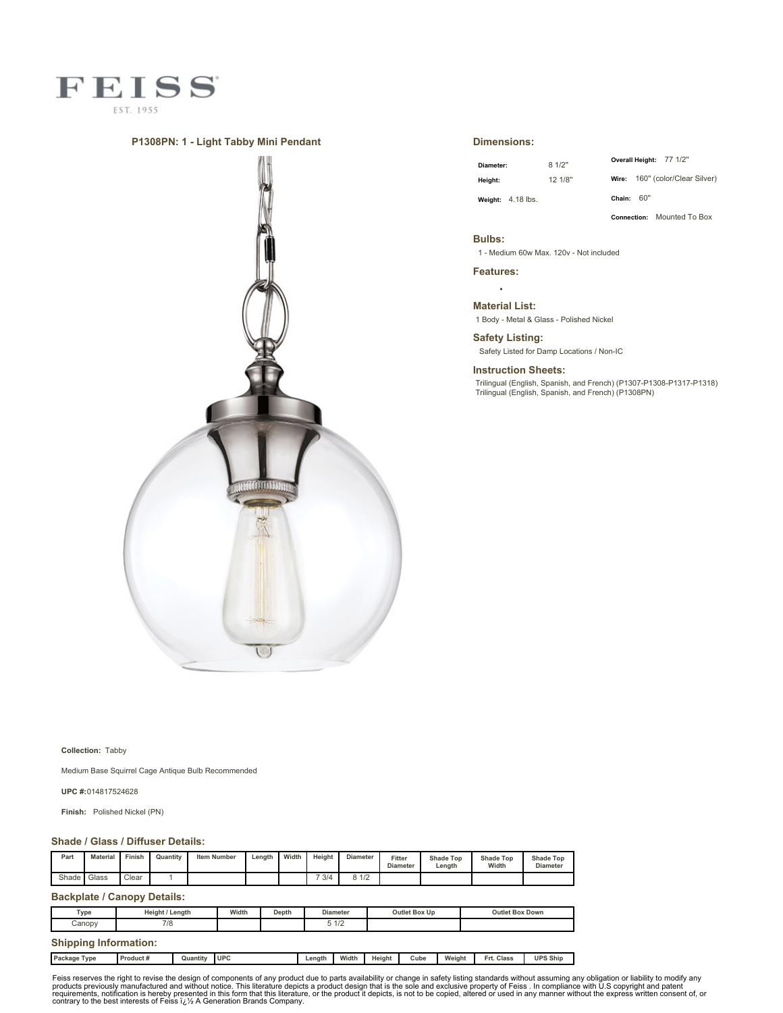

## **P1308PN: 1 - Light Tabby Mini Pendant**



## **Dimensions:**

| Diameter:                  | 81/2"   |              | Overall Height: 77 1/2" |                                 |
|----------------------------|---------|--------------|-------------------------|---------------------------------|
| Heiaht:                    | 12 1/8" |              |                         | Wire: 160" (color/Clear Silver) |
| <b>Weight:</b> $4.18$ lbs. |         | Chain: $60"$ |                         |                                 |

**Connection:** Mounted To Box

#### **Bulbs:**

1 - Medium 60w Max. 120v - Not included

**Features:**

 $\ddot{\phantom{a}}$ **Material List:**

1 Body - Metal & Glass - Polished Nickel

**Safety Listing:** Safety Listed for Damp Locations / Non-IC

**Instruction Sheets:**

Trilingual (English, Spanish, and French) (P1307-P1308-P1317-P1318) Trilingual (English, Spanish, and French) (P1308PN)

**Collection:** Tabby

Medium Base Squirrel Cage Antique Bulb Recommended

**UPC #:**014817524628

**Finish:** Polished Nickel (PN)

## **Shade / Glass / Diffuser Details:**

| Part  | <b>Material</b> | Finish        | Quantity | <b>Item Number</b> | Length | Width | Height | <b>Diameter</b> | Fitter<br><b>Diameter</b> | <b>Shade Top</b><br>Length | <b>Shade Top</b><br>Width | <b>Shade Top</b><br><b>Diameter</b> |
|-------|-----------------|---------------|----------|--------------------|--------|-------|--------|-----------------|---------------------------|----------------------------|---------------------------|-------------------------------------|
| Shade | Glass           | $\sim$<br>اٽ. |          |                    |        |       | 7 3/4  | 0.11<br>1/2     |                           |                            |                           |                                     |

### **Backplate / Canopy Details:**

| Type<br>. . | Heiaht /<br>Lenath | Width | Depth | <b>Diameter</b>                     | <b>Outlet Box Up</b> | <b>Outlet Box Down</b> |
|-------------|--------------------|-------|-------|-------------------------------------|----------------------|------------------------|
| Canopy      | 710<br>$10^{-1}$   |       |       | 10 <sup>o</sup><br>$\overline{112}$ |                      |                        |
|             |                    |       |       |                                     |                      |                        |

# **Shipping Information:**

| Package<br>Type | Product # | Quantity | <b>UPC</b> | Lenath | Width | Height | Cube | Weight | Frt. Class | <b>UPS Ship</b> |
|-----------------|-----------|----------|------------|--------|-------|--------|------|--------|------------|-----------------|
|                 |           |          |            |        |       |        |      |        |            |                 |

Feiss reserves the right to revise the design of components of any product due to parts availability or change in safety listing standards without assuming any obligation or liability to modify any product due to parts av